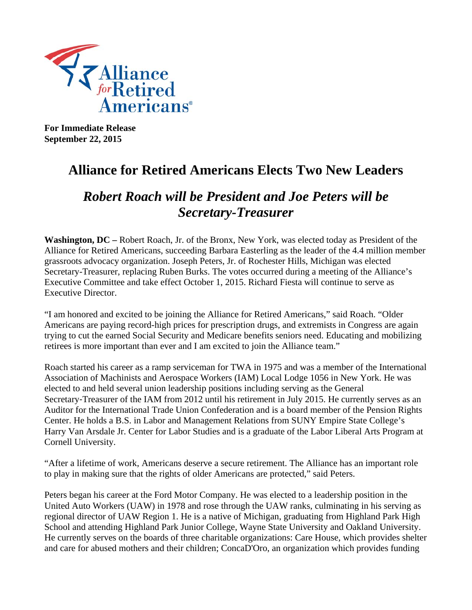

**For Immediate Release September 22, 2015** 

## **Alliance for Retired Americans Elects Two New Leaders**

## *Robert Roach will be President and Joe Peters will be Secretary-Treasurer*

**Washington, DC –** Robert Roach, Jr. of the Bronx, New York, was elected today as President of the Alliance for Retired Americans, succeeding Barbara Easterling as the leader of the 4.4 million member grassroots advocacy organization. Joseph Peters, Jr. of Rochester Hills, Michigan was elected Secretary-Treasurer, replacing Ruben Burks. The votes occurred during a meeting of the Alliance's Executive Committee and take effect October 1, 2015. Richard Fiesta will continue to serve as Executive Director.

"I am honored and excited to be joining the Alliance for Retired Americans," said Roach. "Older Americans are paying record-high prices for prescription drugs, and extremists in Congress are again trying to cut the earned Social Security and Medicare benefits seniors need. Educating and mobilizing retirees is more important than ever and I am excited to join the Alliance team."

Roach started his career as a ramp serviceman for TWA in 1975 and was a member of the International Association of Machinists and Aerospace Workers (IAM) Local Lodge 1056 in New York. He was elected to and held several union leadership positions including serving as the General Secretary-Treasurer of the IAM from 2012 until his retirement in July 2015. He currently serves as an Auditor for the International Trade Union Confederation and is a board member of the Pension Rights Center. He holds a B.S. in Labor and Management Relations from SUNY Empire State College's Harry Van Arsdale Jr. Center for Labor Studies and is a graduate of the Labor Liberal Arts Program at Cornell University.

"After a lifetime of work, Americans deserve a secure retirement. The Alliance has an important role to play in making sure that the rights of older Americans are protected," said Peters.

Peters began his career at the Ford Motor Company. He was elected to a leadership position in the United Auto Workers (UAW) in 1978 and rose through the UAW ranks, culminating in his serving as regional director of UAW Region 1. He is a native of Michigan, graduating from Highland Park High School and attending Highland Park Junior College, Wayne State University and Oakland University. He currently serves on the boards of three charitable organizations: Care House, which provides shelter and care for abused mothers and their children; ConcaD'Oro, an organization which provides funding